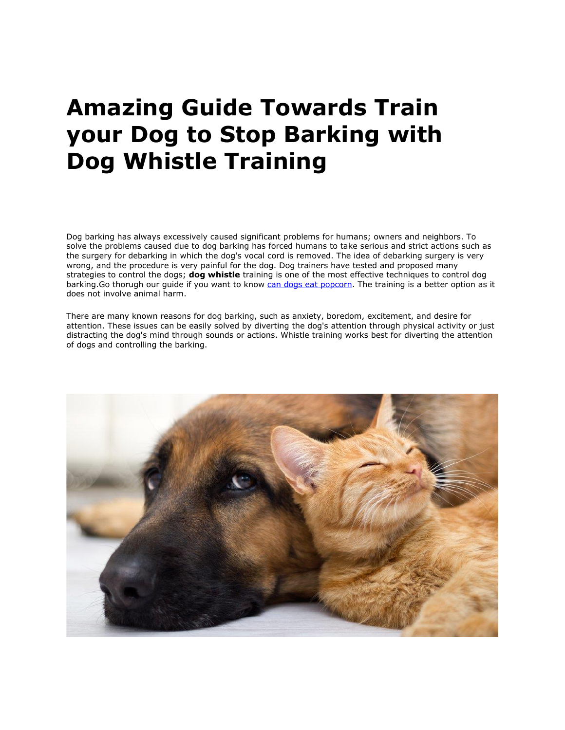## **Amazing Guide Towards Train your Dog to Stop Barking with Dog Whistle Training**

Dog barking has always excessively caused significant problems for humans; owners and neighbors. To solve the problems caused due to dog barking has forced humans to take serious and strict actions such as the surgery for debarking in which the dog's vocal cord is removed. The idea of debarking surgery is very wrong, and the procedure is very painful for the dog. Dog trainers have tested and proposed many strategies to control the dogs; **dog whistle** training is one of the most effective techniques to control dog barking. Go thorugh our guide if you want to know [can dogs eat popcorn.](https://www.realesaletter.com/blog/can-dogs-eat-popcorn) The training is a better option as it does not involve animal harm.

There are many known reasons for dog barking, such as anxiety, boredom, excitement, and desire for attention. These issues can be easily solved by diverting the dog's attention through physical activity or just distracting the dog's mind through sounds or actions. Whistle training works best for diverting the attention of dogs and controlling the barking.